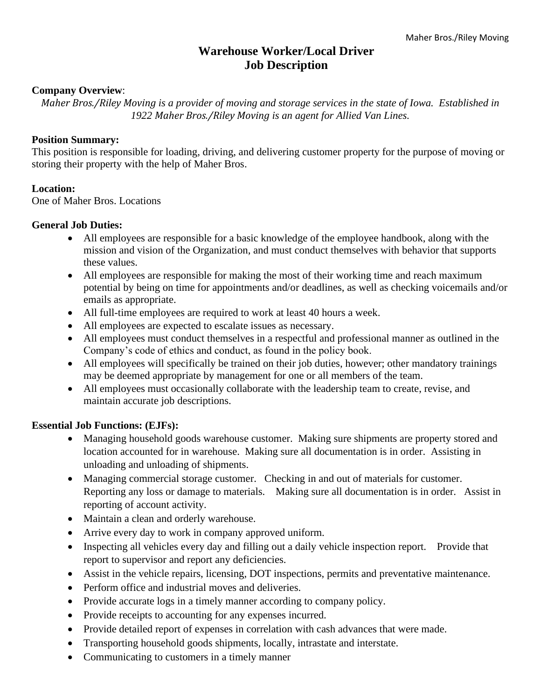# **Warehouse Worker/Local Driver Job Description**

#### **Company Overview**:

*Maher Bros./Riley Moving is a provider of moving and storage services in the state of Iowa. Established in 1922 Maher Bros./Riley Moving is an agent for Allied Van Lines.*

#### **Position Summary:**

This position is responsible for loading, driving, and delivering customer property for the purpose of moving or storing their property with the help of Maher Bros.

## **Location:**

One of Maher Bros. Locations

#### **General Job Duties:**

- All employees are responsible for a basic knowledge of the employee handbook, along with the mission and vision of the Organization, and must conduct themselves with behavior that supports these values.
- All employees are responsible for making the most of their working time and reach maximum potential by being on time for appointments and/or deadlines, as well as checking voicemails and/or emails as appropriate.
- All full-time employees are required to work at least 40 hours a week.
- All employees are expected to escalate issues as necessary.
- All employees must conduct themselves in a respectful and professional manner as outlined in the Company's code of ethics and conduct, as found in the policy book.
- All employees will specifically be trained on their job duties, however; other mandatory trainings may be deemed appropriate by management for one or all members of the team.
- All employees must occasionally collaborate with the leadership team to create, revise, and maintain accurate job descriptions.

## **Essential Job Functions: (EJFs):**

- Managing household goods warehouse customer. Making sure shipments are property stored and location accounted for in warehouse. Making sure all documentation is in order. Assisting in unloading and unloading of shipments.
- Managing commercial storage customer. Checking in and out of materials for customer. Reporting any loss or damage to materials. Making sure all documentation is in order. Assist in reporting of account activity.
- Maintain a clean and orderly warehouse.
- Arrive every day to work in company approved uniform.
- Inspecting all vehicles every day and filling out a daily vehicle inspection report. Provide that report to supervisor and report any deficiencies.
- Assist in the vehicle repairs, licensing, DOT inspections, permits and preventative maintenance.
- Perform office and industrial moves and deliveries.
- Provide accurate logs in a timely manner according to company policy.
- Provide receipts to accounting for any expenses incurred.
- Provide detailed report of expenses in correlation with cash advances that were made.
- Transporting household goods shipments, locally, intrastate and interstate.
- Communicating to customers in a timely manner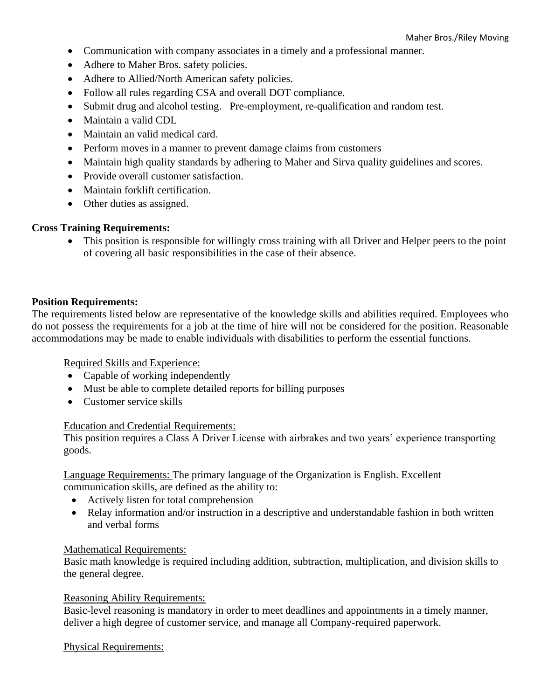- Communication with company associates in a timely and a professional manner.
- Adhere to Maher Bros. safety policies.
- Adhere to Allied/North American safety policies.
- Follow all rules regarding CSA and overall DOT compliance.
- Submit drug and alcohol testing. Pre-employment, re-qualification and random test.
- Maintain a valid CDL
- Maintain an valid medical card.
- Perform moves in a manner to prevent damage claims from customers
- Maintain high quality standards by adhering to Maher and Sirva quality guidelines and scores.
- Provide overall customer satisfaction.
- Maintain forklift certification.
- Other duties as assigned.

## **Cross Training Requirements:**

• This position is responsible for willingly cross training with all Driver and Helper peers to the point of covering all basic responsibilities in the case of their absence.

## **Position Requirements:**

The requirements listed below are representative of the knowledge skills and abilities required. Employees who do not possess the requirements for a job at the time of hire will not be considered for the position. Reasonable accommodations may be made to enable individuals with disabilities to perform the essential functions.

Required Skills and Experience:

- Capable of working independently
- Must be able to complete detailed reports for billing purposes
- Customer service skills

## Education and Credential Requirements:

This position requires a Class A Driver License with airbrakes and two years' experience transporting goods.

Language Requirements: The primary language of the Organization is English. Excellent communication skills, are defined as the ability to:

- Actively listen for total comprehension
- Relay information and/or instruction in a descriptive and understandable fashion in both written and verbal forms

## Mathematical Requirements:

Basic math knowledge is required including addition, subtraction, multiplication, and division skills to the general degree.

#### Reasoning Ability Requirements:

Basic-level reasoning is mandatory in order to meet deadlines and appointments in a timely manner, deliver a high degree of customer service, and manage all Company-required paperwork.

## Physical Requirements: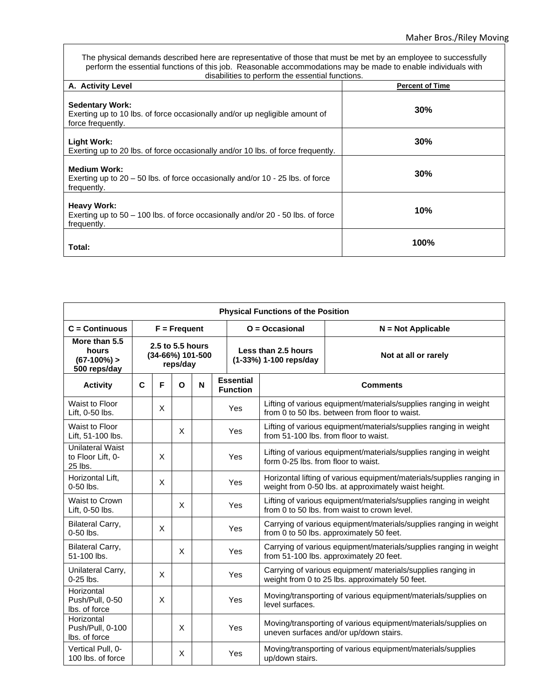The physical demands described here are representative of those that must be met by an employee to successfully perform the essential functions of this job. Reasonable accommodations may be made to enable individuals with disabilities to perform the essential functions.

| A. Activity Level                                                                                                          | <b>Percent of Time</b> |
|----------------------------------------------------------------------------------------------------------------------------|------------------------|
| <b>Sedentary Work:</b><br>Exerting up to 10 lbs. of force occasionally and/or up negligible amount of<br>force frequently. | 30%                    |
| <b>Light Work:</b><br>Exerting up to 20 lbs. of force occasionally and/or 10 lbs. of force frequently.                     | 30%                    |
| <b>Medium Work:</b><br>Exerting up to $20 - 50$ lbs. of force occasionally and/or $10 - 25$ lbs. of force<br>frequently.   | 30%                    |
| <b>Heavy Work:</b><br>Exerting up to $50 - 100$ lbs. of force occasionally and/or $20 - 50$ lbs. of force<br>frequently.   | 10%                    |
| Total:                                                                                                                     | 100%                   |

| <b>Physical Functions of the Position</b>               |                |   |                                                  |                  |                                     |                                                                                                                               |                                                                                                                     |  |
|---------------------------------------------------------|----------------|---|--------------------------------------------------|------------------|-------------------------------------|-------------------------------------------------------------------------------------------------------------------------------|---------------------------------------------------------------------------------------------------------------------|--|
| $C =$ Continuous                                        | $F = Frequent$ |   |                                                  | $O = Occasional$ | $N = Not Applicable$                |                                                                                                                               |                                                                                                                     |  |
| More than 5.5<br>hours<br>$(67-100%)$<br>500 reps/day   |                |   | 2.5 to 5.5 hours<br>(34-66%) 101-500<br>reps/day |                  |                                     | Less than 2.5 hours<br>(1-33%) 1-100 reps/day                                                                                 | Not at all or rarely                                                                                                |  |
| <b>Activity</b>                                         | C              | F | $\mathbf{o}$                                     | N                | <b>Essential</b><br><b>Function</b> |                                                                                                                               | <b>Comments</b>                                                                                                     |  |
| Waist to Floor<br>Lift, 0-50 lbs.                       |                | X |                                                  |                  | <b>Yes</b>                          |                                                                                                                               | Lifting of various equipment/materials/supplies ranging in weight<br>from 0 to 50 lbs. between from floor to waist. |  |
| Waist to Floor<br>Lift, 51-100 lbs.                     |                |   | X                                                |                  | Yes                                 | Lifting of various equipment/materials/supplies ranging in weight<br>from 51-100 lbs. from floor to waist.                    |                                                                                                                     |  |
| <b>Unilateral Waist</b><br>to Floor Lift, 0-<br>25 lbs. |                | X |                                                  |                  | <b>Yes</b>                          | Lifting of various equipment/materials/supplies ranging in weight<br>form 0-25 lbs. from floor to waist.                      |                                                                                                                     |  |
| Horizontal Lift.<br>$0-50$ lbs.                         |                | X |                                                  |                  | <b>Yes</b>                          | Horizontal lifting of various equipment/materials/supplies ranging in<br>weight from 0-50 lbs. at approximately waist height. |                                                                                                                     |  |
| Waist to Crown<br>Lift, 0-50 lbs.                       |                |   | X                                                |                  | Yes                                 | Lifting of various equipment/materials/supplies ranging in weight<br>from 0 to 50 lbs. from waist to crown level.             |                                                                                                                     |  |
| <b>Bilateral Carry,</b><br>$0-50$ lbs.                  |                | X |                                                  |                  | Yes                                 |                                                                                                                               | Carrying of various equipment/materials/supplies ranging in weight<br>from 0 to 50 lbs. approximately 50 feet.      |  |
| <b>Bilateral Carry,</b><br>51-100 lbs.                  |                |   | X                                                |                  | <b>Yes</b>                          | Carrying of various equipment/materials/supplies ranging in weight<br>from 51-100 lbs. approximately 20 feet.                 |                                                                                                                     |  |
| Unilateral Carry,<br>$0-25$ lbs.                        |                | X |                                                  |                  | <b>Yes</b>                          |                                                                                                                               | Carrying of various equipment/ materials/supplies ranging in<br>weight from 0 to 25 lbs. approximately 50 feet.     |  |
| Horizontal<br>Push/Pull, 0-50<br>Ibs. of force          |                | X |                                                  |                  | <b>Yes</b>                          | level surfaces.                                                                                                               | Moving/transporting of various equipment/materials/supplies on                                                      |  |
| Horizontal<br>Push/Pull, 0-100<br>Ibs. of force         |                |   | X                                                |                  | <b>Yes</b>                          |                                                                                                                               | Moving/transporting of various equipment/materials/supplies on<br>uneven surfaces and/or up/down stairs.            |  |
| Vertical Pull, 0-<br>100 lbs. of force                  |                |   | X                                                |                  | <b>Yes</b>                          | up/down stairs.                                                                                                               | Moving/transporting of various equipment/materials/supplies                                                         |  |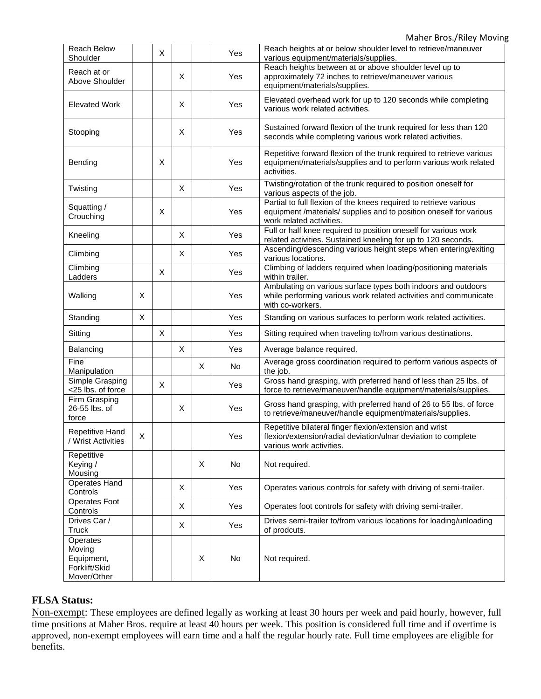Maher Bros./Riley Moving

| <b>Reach Below</b><br>Shoulder                                   |   | X |   |   | Yes | Reach heights at or below shoulder level to retrieve/maneuver<br>various equipment/materials/supplies.                                                              |
|------------------------------------------------------------------|---|---|---|---|-----|---------------------------------------------------------------------------------------------------------------------------------------------------------------------|
| Reach at or<br>Above Shoulder                                    |   |   | X |   | Yes | Reach heights between at or above shoulder level up to<br>approximately 72 inches to retrieve/maneuver various<br>equipment/materials/supplies.                     |
| <b>Elevated Work</b>                                             |   |   | X |   | Yes | Elevated overhead work for up to 120 seconds while completing<br>various work related activities.                                                                   |
| Stooping                                                         |   |   | X |   | Yes | Sustained forward flexion of the trunk required for less than 120<br>seconds while completing various work related activities.                                      |
| Bending                                                          |   | X |   |   | Yes | Repetitive forward flexion of the trunk required to retrieve various<br>equipment/materials/supplies and to perform various work related<br>activities.             |
| Twisting                                                         |   |   | X |   | Yes | Twisting/rotation of the trunk required to position oneself for<br>various aspects of the job.                                                                      |
| Squatting /<br>Crouching                                         |   | X |   |   | Yes | Partial to full flexion of the knees required to retrieve various<br>equipment /materials/ supplies and to position oneself for various<br>work related activities. |
| Kneeling                                                         |   |   | X |   | Yes | Full or half knee required to position oneself for various work<br>related activities. Sustained kneeling for up to 120 seconds.                                    |
| Climbing                                                         |   |   | X |   | Yes | Ascending/descending various height steps when entering/exiting<br>various locations.                                                                               |
| $\overline{\text{Clim}}$ bing<br>Ladders                         |   | X |   |   | Yes | Climbing of ladders required when loading/positioning materials<br>within trailer.                                                                                  |
| Walking                                                          | X |   |   |   | Yes | Ambulating on various surface types both indoors and outdoors<br>while performing various work related activities and communicate<br>with co-workers.               |
| Standing                                                         | X |   |   |   | Yes | Standing on various surfaces to perform work related activities.                                                                                                    |
| Sitting                                                          |   | X |   |   | Yes | Sitting required when traveling to/from various destinations.                                                                                                       |
| Balancing                                                        |   |   | X |   | Yes | Average balance required.                                                                                                                                           |
| Fine<br>Manipulation                                             |   |   |   | X | No  | Average gross coordination required to perform various aspects of<br>the job.                                                                                       |
| Simple Grasping<br><25 lbs. of force                             |   | X |   |   | Yes | Gross hand grasping, with preferred hand of less than 25 lbs. of<br>force to retrieve/maneuver/handle equipment/materials/supplies.                                 |
| Firm Grasping<br>26-55 lbs. of<br>force                          |   |   | X |   | Yes | Gross hand grasping, with preferred hand of 26 to 55 lbs. of force<br>to retrieve/maneuver/handle equipment/materials/supplies.                                     |
| <b>Repetitive Hand</b><br>/ Wrist Activities                     | X |   |   |   | Yes | Repetitive bilateral finger flexion/extension and wrist<br>flexion/extension/radial deviation/ulnar deviation to complete<br>various work activities.               |
| Repetitive<br>Keying /<br>Mousing                                |   |   |   | X | No  | Not required.                                                                                                                                                       |
| Operates Hand<br>Controls                                        |   |   | X |   | Yes | Operates various controls for safety with driving of semi-trailer.                                                                                                  |
| Operates Foot<br>Controls                                        |   |   | X |   | Yes | Operates foot controls for safety with driving semi-trailer.                                                                                                        |
| Drives Car /<br>Truck                                            |   |   | X |   | Yes | Drives semi-trailer to/from various locations for loading/unloading<br>of prodcuts.                                                                                 |
| Operates<br>Moving<br>Equipment,<br>Forklift/Skid<br>Mover/Other |   |   |   | Χ | No  | Not required.                                                                                                                                                       |

# **FLSA Status:**

Non-exempt: These employees are defined legally as working at least 30 hours per week and paid hourly, however, full time positions at Maher Bros. require at least 40 hours per week. This position is considered full time and if overtime is approved, non-exempt employees will earn time and a half the regular hourly rate. Full time employees are eligible for benefits.